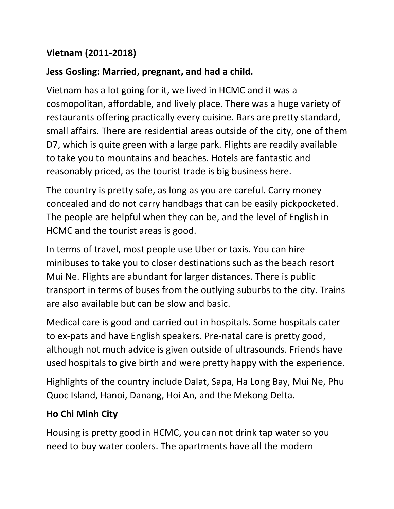## **Vietnam (2011-2018)**

## **Jess Gosling: Married, pregnant, and had a child.**

Vietnam has a lot going for it, we lived in HCMC and it was a cosmopolitan, affordable, and lively place. There was a huge variety of restaurants offering practically every cuisine. Bars are pretty standard, small affairs. There are residential areas outside of the city, one of them D7, which is quite green with a large park. Flights are readily available to take you to mountains and beaches. Hotels are fantastic and reasonably priced, as the tourist trade is big business here.

The country is pretty safe, as long as you are careful. Carry money concealed and do not carry handbags that can be easily pickpocketed. The people are helpful when they can be, and the level of English in HCMC and the tourist areas is good.

In terms of travel, most people use Uber or taxis. You can hire minibuses to take you to closer destinations such as the beach resort Mui Ne. Flights are abundant for larger distances. There is public transport in terms of buses from the outlying suburbs to the city. Trains are also available but can be slow and basic.

Medical care is good and carried out in hospitals. Some hospitals cater to ex-pats and have English speakers. Pre-natal care is pretty good, although not much advice is given outside of ultrasounds. Friends have used hospitals to give birth and were pretty happy with the experience.

Highlights of the country include Dalat, Sapa, Ha Long Bay, Mui Ne, Phu Quoc Island, Hanoi, Danang, Hoi An, and the Mekong Delta.

## **Ho Chi Minh City**

Housing is pretty good in HCMC, you can not drink tap water so you need to buy water coolers. The apartments have all the modern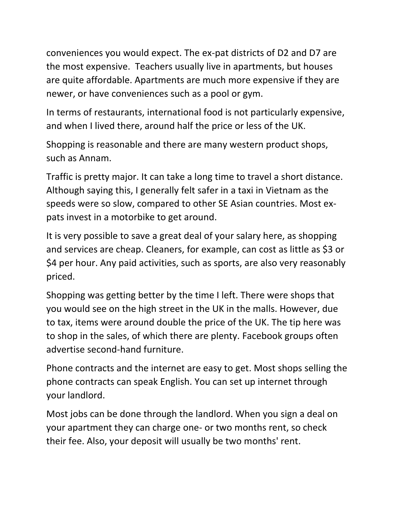conveniences you would expect. The ex-pat districts of D2 and D7 are the most expensive. Teachers usually live in apartments, but houses are quite affordable. Apartments are much more expensive if they are newer, or have conveniences such as a pool or gym.

In terms of restaurants, international food is not particularly expensive, and when I lived there, around half the price or less of the UK.

Shopping is reasonable and there are many western product shops, such as Annam.

Traffic is pretty major. It can take a long time to travel a short distance. Although saying this, I generally felt safer in a taxi in Vietnam as the speeds were so slow, compared to other SE Asian countries. Most expats invest in a motorbike to get around.

It is very possible to save a great deal of your salary here, as shopping and services are cheap. Cleaners, for example, can cost as little as \$3 or \$4 per hour. Any paid activities, such as sports, are also very reasonably priced.

Shopping was getting better by the time I left. There were shops that you would see on the high street in the UK in the malls. However, due to tax, items were around double the price of the UK. The tip here was to shop in the sales, of which there are plenty. Facebook groups often advertise second-hand furniture.

Phone contracts and the internet are easy to get. Most shops selling the phone contracts can speak English. You can set up internet through your landlord.

Most jobs can be done through the landlord. When you sign a deal on your apartment they can charge one- or two months rent, so check their fee. Also, your deposit will usually be two months' rent.